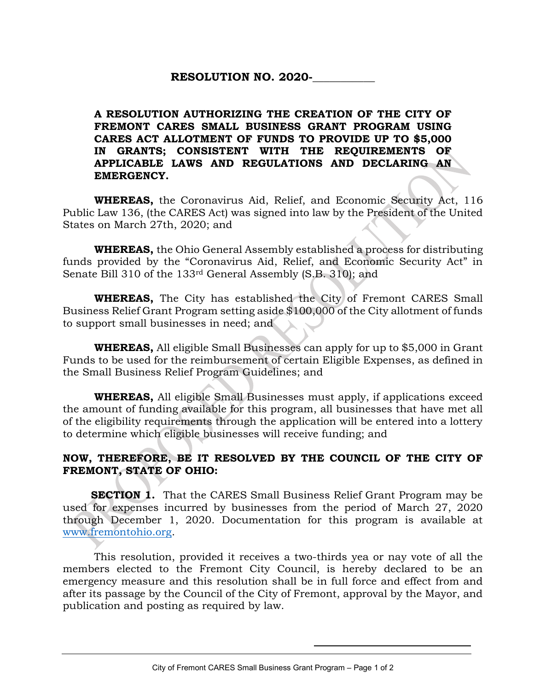## RESOLUTION NO. 2020-

## A RESOLUTION AUTHORIZING THE CREATION OF THE CITY OF FREMONT CARES SMALL BUSINESS GRANT PROGRAM USING CARES ACT ALLOTMENT OF FUNDS TO PROVIDE UP TO \$5,000 IN GRANTS; CONSISTENT WITH THE REQUIREMENTS OF APPLICABLE LAWS AND REGULATIONS AND DECLARING AN EMERGENCY.

WHEREAS, the Coronavirus Aid, Relief, and Economic Security Act, 116 Public Law 136, (the CARES Act) was signed into law by the President of the United States on March 27th, 2020; and

**WHEREAS,** the Ohio General Assembly established a process for distributing funds provided by the "Coronavirus Aid, Relief, and Economic Security Act" in Senate Bill 310 of the 133rd General Assembly (S.B. 310); and

WHEREAS, The City has established the City of Fremont CARES Small Business Relief Grant Program setting aside \$100,000 of the City allotment of funds to support small businesses in need; and

WHEREAS, All eligible Small Businesses can apply for up to \$5,000 in Grant Funds to be used for the reimbursement of certain Eligible Expenses, as defined in the Small Business Relief Program Guidelines; and

WHEREAS, All eligible Small Businesses must apply, if applications exceed the amount of funding available for this program, all businesses that have met all of the eligibility requirements through the application will be entered into a lottery to determine which eligible businesses will receive funding; and

## NOW, THEREFORE, BE IT RESOLVED BY THE COUNCIL OF THE CITY OF FREMONT, STATE OF OHIO:

**SECTION 1.** That the CARES Small Business Relief Grant Program may be used for expenses incurred by businesses from the period of March 27, 2020 through December 1, 2020. Documentation for this program is available at www.fremontohio.org.

 This resolution, provided it receives a two-thirds yea or nay vote of all the members elected to the Fremont City Council, is hereby declared to be an emergency measure and this resolution shall be in full force and effect from and after its passage by the Council of the City of Fremont, approval by the Mayor, and publication and posting as required by law.